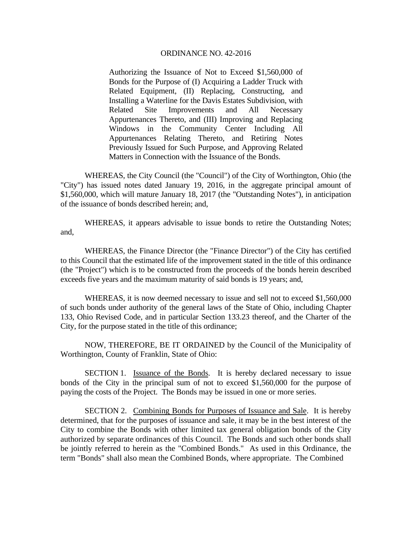Authorizing the Issuance of Not to Exceed \$1,560,000 of Bonds for the Purpose of (I) Acquiring a Ladder Truck with Related Equipment, (II) Replacing, Constructing, and Installing a Waterline for the Davis Estates Subdivision, with Related Site Improvements and All Necessary Appurtenances Thereto, and (III) Improving and Replacing Windows in the Community Center Including All Appurtenances Relating Thereto, and Retiring Notes Previously Issued for Such Purpose, and Approving Related Matters in Connection with the Issuance of the Bonds.

 WHEREAS, the City Council (the "Council") of the City of Worthington, Ohio (the "City") has issued notes dated January 19, 2016, in the aggregate principal amount of \$1,560,000, which will mature January 18, 2017 (the "Outstanding Notes"), in anticipation of the issuance of bonds described herein; and,

 WHEREAS, it appears advisable to issue bonds to retire the Outstanding Notes; and,

 WHEREAS, the Finance Director (the "Finance Director") of the City has certified to this Council that the estimated life of the improvement stated in the title of this ordinance (the "Project") which is to be constructed from the proceeds of the bonds herein described exceeds five years and the maximum maturity of said bonds is 19 years; and,

 WHEREAS, it is now deemed necessary to issue and sell not to exceed \$1,560,000 of such bonds under authority of the general laws of the State of Ohio, including Chapter 133, Ohio Revised Code, and in particular Section 133.23 thereof, and the Charter of the City, for the purpose stated in the title of this ordinance;

NOW, THEREFORE, BE IT ORDAINED by the Council of the Municipality of Worthington, County of Franklin, State of Ohio:

SECTION 1. Issuance of the Bonds. It is hereby declared necessary to issue bonds of the City in the principal sum of not to exceed \$1,560,000 for the purpose of paying the costs of the Project. The Bonds may be issued in one or more series.

SECTION 2. Combining Bonds for Purposes of Issuance and Sale. It is hereby determined, that for the purposes of issuance and sale, it may be in the best interest of the City to combine the Bonds with other limited tax general obligation bonds of the City authorized by separate ordinances of this Council. The Bonds and such other bonds shall be jointly referred to herein as the "Combined Bonds." As used in this Ordinance, the term "Bonds" shall also mean the Combined Bonds, where appropriate. The Combined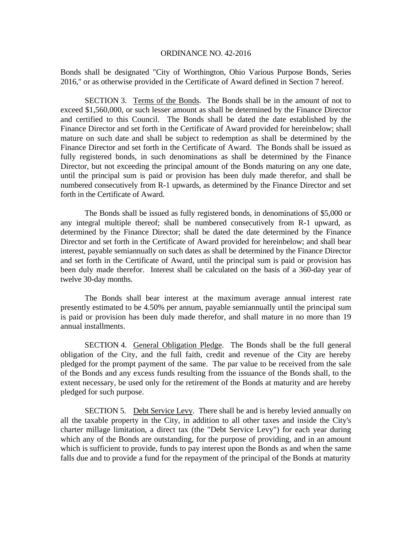Bonds shall be designated "City of Worthington, Ohio Various Purpose Bonds, Series 2016," or as otherwise provided in the Certificate of Award defined in Section 7 hereof.

SECTION 3. Terms of the Bonds. The Bonds shall be in the amount of not to exceed \$1,560,000, or such lesser amount as shall be determined by the Finance Director and certified to this Council. The Bonds shall be dated the date established by the Finance Director and set forth in the Certificate of Award provided for hereinbelow; shall mature on such date and shall be subject to redemption as shall be determined by the Finance Director and set forth in the Certificate of Award. The Bonds shall be issued as fully registered bonds, in such denominations as shall be determined by the Finance Director, but not exceeding the principal amount of the Bonds maturing on any one date, until the principal sum is paid or provision has been duly made therefor, and shall be numbered consecutively from R-1 upwards, as determined by the Finance Director and set forth in the Certificate of Award.

 The Bonds shall be issued as fully registered bonds, in denominations of \$5,000 or any integral multiple thereof; shall be numbered consecutively from R-1 upward, as determined by the Finance Director; shall be dated the date determined by the Finance Director and set forth in the Certificate of Award provided for hereinbelow; and shall bear interest, payable semiannually on such dates as shall be determined by the Finance Director and set forth in the Certificate of Award, until the principal sum is paid or provision has been duly made therefor. Interest shall be calculated on the basis of a 360-day year of twelve 30-day months.

The Bonds shall bear interest at the maximum average annual interest rate presently estimated to be 4.50% per annum, payable semiannually until the principal sum is paid or provision has been duly made therefor, and shall mature in no more than 19 annual installments.

SECTION 4. General Obligation Pledge. The Bonds shall be the full general obligation of the City, and the full faith, credit and revenue of the City are hereby pledged for the prompt payment of the same. The par value to be received from the sale of the Bonds and any excess funds resulting from the issuance of the Bonds shall, to the extent necessary, be used only for the retirement of the Bonds at maturity and are hereby pledged for such purpose.

SECTION 5. Debt Service Levy. There shall be and is hereby levied annually on all the taxable property in the City, in addition to all other taxes and inside the City's charter millage limitation, a direct tax (the "Debt Service Levy") for each year during which any of the Bonds are outstanding, for the purpose of providing, and in an amount which is sufficient to provide, funds to pay interest upon the Bonds as and when the same falls due and to provide a fund for the repayment of the principal of the Bonds at maturity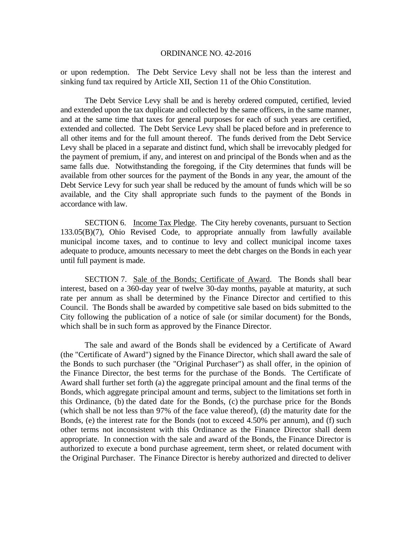or upon redemption. The Debt Service Levy shall not be less than the interest and sinking fund tax required by Article XII, Section 11 of the Ohio Constitution.

The Debt Service Levy shall be and is hereby ordered computed, certified, levied and extended upon the tax duplicate and collected by the same officers, in the same manner, and at the same time that taxes for general purposes for each of such years are certified, extended and collected. The Debt Service Levy shall be placed before and in preference to all other items and for the full amount thereof. The funds derived from the Debt Service Levy shall be placed in a separate and distinct fund, which shall be irrevocably pledged for the payment of premium, if any, and interest on and principal of the Bonds when and as the same falls due. Notwithstanding the foregoing, if the City determines that funds will be available from other sources for the payment of the Bonds in any year, the amount of the Debt Service Levy for such year shall be reduced by the amount of funds which will be so available, and the City shall appropriate such funds to the payment of the Bonds in accordance with law.

SECTION 6. Income Tax Pledge. The City hereby covenants, pursuant to Section 133.05(B)(7), Ohio Revised Code, to appropriate annually from lawfully available municipal income taxes, and to continue to levy and collect municipal income taxes adequate to produce, amounts necessary to meet the debt charges on the Bonds in each year until full payment is made.

SECTION 7. Sale of the Bonds; Certificate of Award. The Bonds shall bear interest, based on a 360-day year of twelve 30-day months, payable at maturity, at such rate per annum as shall be determined by the Finance Director and certified to this Council. The Bonds shall be awarded by competitive sale based on bids submitted to the City following the publication of a notice of sale (or similar document) for the Bonds, which shall be in such form as approved by the Finance Director.

The sale and award of the Bonds shall be evidenced by a Certificate of Award (the "Certificate of Award") signed by the Finance Director, which shall award the sale of the Bonds to such purchaser (the "Original Purchaser") as shall offer, in the opinion of the Finance Director, the best terms for the purchase of the Bonds. The Certificate of Award shall further set forth (a) the aggregate principal amount and the final terms of the Bonds, which aggregate principal amount and terms, subject to the limitations set forth in this Ordinance, (b) the dated date for the Bonds, (c) the purchase price for the Bonds (which shall be not less than 97% of the face value thereof), (d) the maturity date for the Bonds, (e) the interest rate for the Bonds (not to exceed 4.50% per annum), and (f) such other terms not inconsistent with this Ordinance as the Finance Director shall deem appropriate. In connection with the sale and award of the Bonds, the Finance Director is authorized to execute a bond purchase agreement, term sheet, or related document with the Original Purchaser. The Finance Director is hereby authorized and directed to deliver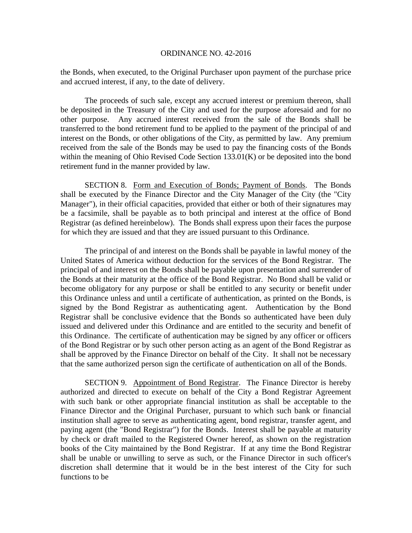the Bonds, when executed, to the Original Purchaser upon payment of the purchase price and accrued interest, if any, to the date of delivery.

The proceeds of such sale, except any accrued interest or premium thereon, shall be deposited in the Treasury of the City and used for the purpose aforesaid and for no other purpose. Any accrued interest received from the sale of the Bonds shall be transferred to the bond retirement fund to be applied to the payment of the principal of and interest on the Bonds, or other obligations of the City, as permitted by law. Any premium received from the sale of the Bonds may be used to pay the financing costs of the Bonds within the meaning of Ohio Revised Code Section 133.01(K) or be deposited into the bond retirement fund in the manner provided by law.

SECTION 8. Form and Execution of Bonds; Payment of Bonds. The Bonds shall be executed by the Finance Director and the City Manager of the City (the "City Manager"), in their official capacities, provided that either or both of their signatures may be a facsimile, shall be payable as to both principal and interest at the office of Bond Registrar (as defined hereinbelow). The Bonds shall express upon their faces the purpose for which they are issued and that they are issued pursuant to this Ordinance.

The principal of and interest on the Bonds shall be payable in lawful money of the United States of America without deduction for the services of the Bond Registrar. The principal of and interest on the Bonds shall be payable upon presentation and surrender of the Bonds at their maturity at the office of the Bond Registrar. No Bond shall be valid or become obligatory for any purpose or shall be entitled to any security or benefit under this Ordinance unless and until a certificate of authentication, as printed on the Bonds, is signed by the Bond Registrar as authenticating agent. Authentication by the Bond Registrar shall be conclusive evidence that the Bonds so authenticated have been duly issued and delivered under this Ordinance and are entitled to the security and benefit of this Ordinance. The certificate of authentication may be signed by any officer or officers of the Bond Registrar or by such other person acting as an agent of the Bond Registrar as shall be approved by the Finance Director on behalf of the City. It shall not be necessary that the same authorized person sign the certificate of authentication on all of the Bonds.

SECTION 9. Appointment of Bond Registrar. The Finance Director is hereby authorized and directed to execute on behalf of the City a Bond Registrar Agreement with such bank or other appropriate financial institution as shall be acceptable to the Finance Director and the Original Purchaser, pursuant to which such bank or financial institution shall agree to serve as authenticating agent, bond registrar, transfer agent, and paying agent (the "Bond Registrar") for the Bonds. Interest shall be payable at maturity by check or draft mailed to the Registered Owner hereof, as shown on the registration books of the City maintained by the Bond Registrar. If at any time the Bond Registrar shall be unable or unwilling to serve as such, or the Finance Director in such officer's discretion shall determine that it would be in the best interest of the City for such functions to be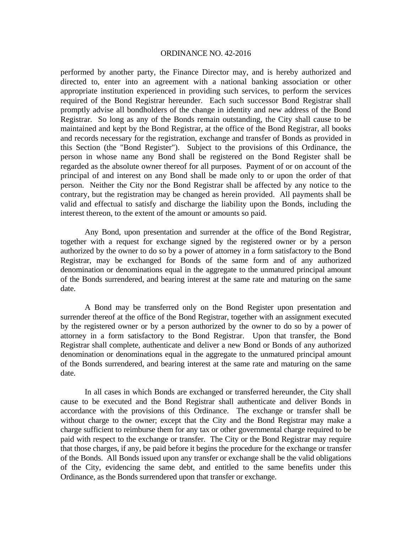performed by another party, the Finance Director may, and is hereby authorized and directed to, enter into an agreement with a national banking association or other appropriate institution experienced in providing such services, to perform the services required of the Bond Registrar hereunder. Each such successor Bond Registrar shall promptly advise all bondholders of the change in identity and new address of the Bond Registrar. So long as any of the Bonds remain outstanding, the City shall cause to be maintained and kept by the Bond Registrar, at the office of the Bond Registrar, all books and records necessary for the registration, exchange and transfer of Bonds as provided in this Section (the "Bond Register"). Subject to the provisions of this Ordinance, the person in whose name any Bond shall be registered on the Bond Register shall be regarded as the absolute owner thereof for all purposes. Payment of or on account of the principal of and interest on any Bond shall be made only to or upon the order of that person. Neither the City nor the Bond Registrar shall be affected by any notice to the contrary, but the registration may be changed as herein provided. All payments shall be valid and effectual to satisfy and discharge the liability upon the Bonds, including the interest thereon, to the extent of the amount or amounts so paid.

 Any Bond, upon presentation and surrender at the office of the Bond Registrar, together with a request for exchange signed by the registered owner or by a person authorized by the owner to do so by a power of attorney in a form satisfactory to the Bond Registrar, may be exchanged for Bonds of the same form and of any authorized denomination or denominations equal in the aggregate to the unmatured principal amount of the Bonds surrendered, and bearing interest at the same rate and maturing on the same date.

 A Bond may be transferred only on the Bond Register upon presentation and surrender thereof at the office of the Bond Registrar, together with an assignment executed by the registered owner or by a person authorized by the owner to do so by a power of attorney in a form satisfactory to the Bond Registrar. Upon that transfer, the Bond Registrar shall complete, authenticate and deliver a new Bond or Bonds of any authorized denomination or denominations equal in the aggregate to the unmatured principal amount of the Bonds surrendered, and bearing interest at the same rate and maturing on the same date.

In all cases in which Bonds are exchanged or transferred hereunder, the City shall cause to be executed and the Bond Registrar shall authenticate and deliver Bonds in accordance with the provisions of this Ordinance. The exchange or transfer shall be without charge to the owner; except that the City and the Bond Registrar may make a charge sufficient to reimburse them for any tax or other governmental charge required to be paid with respect to the exchange or transfer. The City or the Bond Registrar may require that those charges, if any, be paid before it begins the procedure for the exchange or transfer of the Bonds. All Bonds issued upon any transfer or exchange shall be the valid obligations of the City, evidencing the same debt, and entitled to the same benefits under this Ordinance, as the Bonds surrendered upon that transfer or exchange.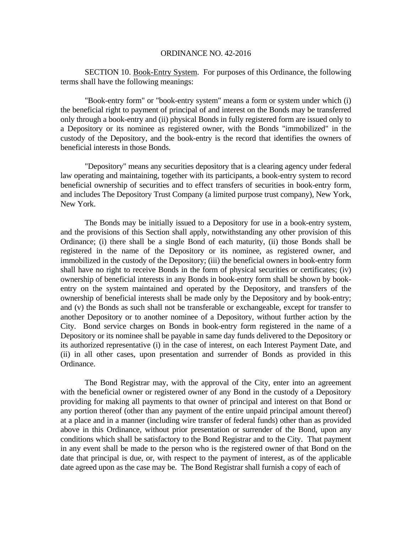SECTION 10. Book-Entry System. For purposes of this Ordinance, the following terms shall have the following meanings:

 "Book-entry form" or "book-entry system" means a form or system under which (i) the beneficial right to payment of principal of and interest on the Bonds may be transferred only through a book-entry and (ii) physical Bonds in fully registered form are issued only to a Depository or its nominee as registered owner, with the Bonds "immobilized" in the custody of the Depository, and the book-entry is the record that identifies the owners of beneficial interests in those Bonds.

 "Depository" means any securities depository that is a clearing agency under federal law operating and maintaining, together with its participants, a book-entry system to record beneficial ownership of securities and to effect transfers of securities in book-entry form, and includes The Depository Trust Company (a limited purpose trust company), New York, New York.

 The Bonds may be initially issued to a Depository for use in a book-entry system, and the provisions of this Section shall apply, notwithstanding any other provision of this Ordinance; (i) there shall be a single Bond of each maturity, (ii) those Bonds shall be registered in the name of the Depository or its nominee, as registered owner, and immobilized in the custody of the Depository; (iii) the beneficial owners in book-entry form shall have no right to receive Bonds in the form of physical securities or certificates; (iv) ownership of beneficial interests in any Bonds in book-entry form shall be shown by bookentry on the system maintained and operated by the Depository, and transfers of the ownership of beneficial interests shall be made only by the Depository and by book-entry; and (v) the Bonds as such shall not be transferable or exchangeable, except for transfer to another Depository or to another nominee of a Depository, without further action by the City. Bond service charges on Bonds in book-entry form registered in the name of a Depository or its nominee shall be payable in same day funds delivered to the Depository or its authorized representative (i) in the case of interest, on each Interest Payment Date, and (ii) in all other cases, upon presentation and surrender of Bonds as provided in this Ordinance.

 The Bond Registrar may, with the approval of the City, enter into an agreement with the beneficial owner or registered owner of any Bond in the custody of a Depository providing for making all payments to that owner of principal and interest on that Bond or any portion thereof (other than any payment of the entire unpaid principal amount thereof) at a place and in a manner (including wire transfer of federal funds) other than as provided above in this Ordinance, without prior presentation or surrender of the Bond, upon any conditions which shall be satisfactory to the Bond Registrar and to the City. That payment in any event shall be made to the person who is the registered owner of that Bond on the date that principal is due, or, with respect to the payment of interest, as of the applicable date agreed upon as the case may be. The Bond Registrar shall furnish a copy of each of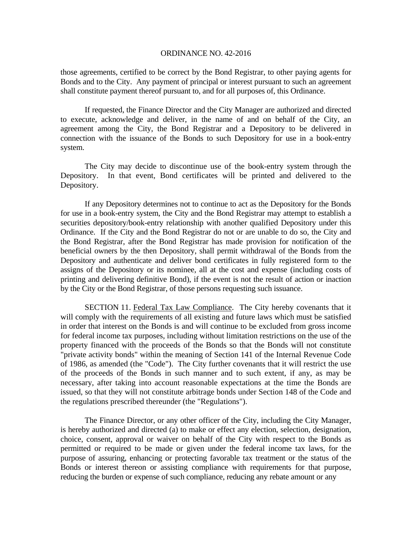those agreements, certified to be correct by the Bond Registrar, to other paying agents for Bonds and to the City. Any payment of principal or interest pursuant to such an agreement shall constitute payment thereof pursuant to, and for all purposes of, this Ordinance.

 If requested, the Finance Director and the City Manager are authorized and directed to execute, acknowledge and deliver, in the name of and on behalf of the City, an agreement among the City, the Bond Registrar and a Depository to be delivered in connection with the issuance of the Bonds to such Depository for use in a book-entry system.

The City may decide to discontinue use of the book-entry system through the Depository. In that event, Bond certificates will be printed and delivered to the Depository.

 If any Depository determines not to continue to act as the Depository for the Bonds for use in a book-entry system, the City and the Bond Registrar may attempt to establish a securities depository/book-entry relationship with another qualified Depository under this Ordinance. If the City and the Bond Registrar do not or are unable to do so, the City and the Bond Registrar, after the Bond Registrar has made provision for notification of the beneficial owners by the then Depository, shall permit withdrawal of the Bonds from the Depository and authenticate and deliver bond certificates in fully registered form to the assigns of the Depository or its nominee, all at the cost and expense (including costs of printing and delivering definitive Bond), if the event is not the result of action or inaction by the City or the Bond Registrar, of those persons requesting such issuance.

SECTION 11. Federal Tax Law Compliance. The City hereby covenants that it will comply with the requirements of all existing and future laws which must be satisfied in order that interest on the Bonds is and will continue to be excluded from gross income for federal income tax purposes, including without limitation restrictions on the use of the property financed with the proceeds of the Bonds so that the Bonds will not constitute "private activity bonds" within the meaning of Section 141 of the Internal Revenue Code of 1986, as amended (the "Code"). The City further covenants that it will restrict the use of the proceeds of the Bonds in such manner and to such extent, if any, as may be necessary, after taking into account reasonable expectations at the time the Bonds are issued, so that they will not constitute arbitrage bonds under Section 148 of the Code and the regulations prescribed thereunder (the "Regulations").

The Finance Director, or any other officer of the City, including the City Manager, is hereby authorized and directed (a) to make or effect any election, selection, designation, choice, consent, approval or waiver on behalf of the City with respect to the Bonds as permitted or required to be made or given under the federal income tax laws, for the purpose of assuring, enhancing or protecting favorable tax treatment or the status of the Bonds or interest thereon or assisting compliance with requirements for that purpose, reducing the burden or expense of such compliance, reducing any rebate amount or any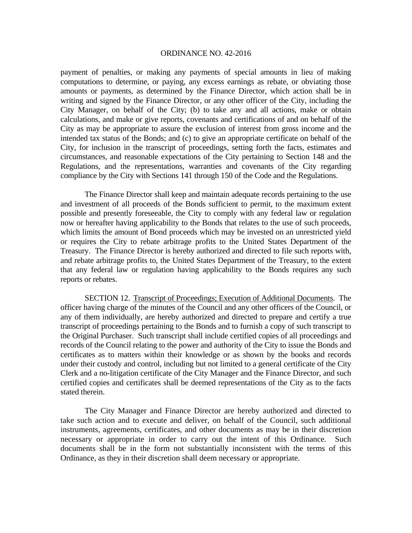payment of penalties, or making any payments of special amounts in lieu of making computations to determine, or paying, any excess earnings as rebate, or obviating those amounts or payments, as determined by the Finance Director, which action shall be in writing and signed by the Finance Director, or any other officer of the City, including the City Manager, on behalf of the City; (b) to take any and all actions, make or obtain calculations, and make or give reports, covenants and certifications of and on behalf of the City as may be appropriate to assure the exclusion of interest from gross income and the intended tax status of the Bonds; and (c) to give an appropriate certificate on behalf of the City, for inclusion in the transcript of proceedings, setting forth the facts, estimates and circumstances, and reasonable expectations of the City pertaining to Section 148 and the Regulations, and the representations, warranties and covenants of the City regarding compliance by the City with Sections 141 through 150 of the Code and the Regulations.

The Finance Director shall keep and maintain adequate records pertaining to the use and investment of all proceeds of the Bonds sufficient to permit, to the maximum extent possible and presently foreseeable, the City to comply with any federal law or regulation now or hereafter having applicability to the Bonds that relates to the use of such proceeds, which limits the amount of Bond proceeds which may be invested on an unrestricted yield or requires the City to rebate arbitrage profits to the United States Department of the Treasury. The Finance Director is hereby authorized and directed to file such reports with, and rebate arbitrage profits to, the United States Department of the Treasury, to the extent that any federal law or regulation having applicability to the Bonds requires any such reports or rebates.

 SECTION 12. Transcript of Proceedings; Execution of Additional Documents. The officer having charge of the minutes of the Council and any other officers of the Council, or any of them individually, are hereby authorized and directed to prepare and certify a true transcript of proceedings pertaining to the Bonds and to furnish a copy of such transcript to the Original Purchaser. Such transcript shall include certified copies of all proceedings and records of the Council relating to the power and authority of the City to issue the Bonds and certificates as to matters within their knowledge or as shown by the books and records under their custody and control, including but not limited to a general certificate of the City Clerk and a no-litigation certificate of the City Manager and the Finance Director, and such certified copies and certificates shall be deemed representations of the City as to the facts stated therein.

The City Manager and Finance Director are hereby authorized and directed to take such action and to execute and deliver, on behalf of the Council, such additional instruments, agreements, certificates, and other documents as may be in their discretion necessary or appropriate in order to carry out the intent of this Ordinance. Such documents shall be in the form not substantially inconsistent with the terms of this Ordinance, as they in their discretion shall deem necessary or appropriate.